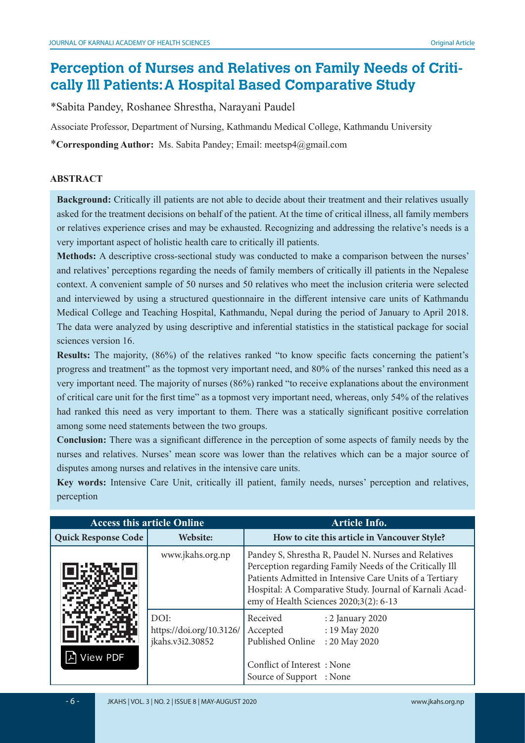# **Perception of Nurses and Relatives on Family Needs of Critically Ill Patients: A Hospital Based Comparative Study**

\*Sabita Pandey, Roshanee Shrestha, Narayani Paudel

Associate Professor, Department of Nursing, Kathmandu Medical College, Kathmandu University

\***Corresponding Author:** Ms. Sabita Pandey; Email: meetsp4@gmail.com

#### **ABSTRACT**

**Background:** Critically ill patients are not able to decide about their treatment and their relatives usually asked for the treatment decisions on behalf of the patient. At the time of critical illness, all family members or relatives experience crises and may be exhausted. Recognizing and addressing the relative's needs is a very important aspect of holistic health care to critically ill patients.

**Methods:** A descriptive cross-sectional study was conducted to make a comparison between the nurses' and relatives' perceptions regarding the needs of family members of critically ill patients in the Nepalese context. A convenient sample of 50 nurses and 50 relatives who meet the inclusion criteria were selected and interviewed by using a structured questionnaire in the different intensive care units of Kathmandu Medical College and Teaching Hospital, Kathmandu, Nepal during the period of January to April 2018. The data were analyzed by using descriptive and inferential statistics in the statistical package for social sciences version 16.

**Results:** The majority, (86%) of the relatives ranked "to know specific facts concerning the patient's progress and treatment" as the topmost very important need, and 80% of the nurses' ranked this need as a very important need. The majority of nurses (86%) ranked "to receive explanations about the environment of critical care unit for the first time" as a topmost very important need, whereas, only 54% of the relatives had ranked this need as very important to them. There was a statically significant positive correlation among some need statements between the two groups.

**Conclusion:** There was a significant difference in the perception of some aspects of family needs by the nurses and relatives. Nurses' mean score was lower than the relatives which can be a major source of disputes among nurses and relatives in the intensive care units.

**Key words:** Intensive Care Unit, critically ill patient, family needs, nurses' perception and relatives, perception

| <b>Access this article Online</b> |                                                                                                                                                                                                                  | <b>Article Info.</b>                                                                                                                                                                                                                                                            |  |  |
|-----------------------------------|------------------------------------------------------------------------------------------------------------------------------------------------------------------------------------------------------------------|---------------------------------------------------------------------------------------------------------------------------------------------------------------------------------------------------------------------------------------------------------------------------------|--|--|
| <b>Quick Response Code</b>        | Website:                                                                                                                                                                                                         | How to cite this article in Vancouver Style?                                                                                                                                                                                                                                    |  |  |
|                                   | www.jkahs.org.np                                                                                                                                                                                                 | Pandey S, Shrestha R, Paudel N. Nurses and Relatives<br>Perception regarding Family Needs of the Critically Ill<br>Patients Admitted in Intensive Care Units of a Tertiary<br>Hospital: A Comparative Study. Journal of Karnali Acad-<br>emy of Health Sciences 2020;3(2): 6-13 |  |  |
| View PDF                          | DOI:<br>Received<br>: 2 January 2020<br>https://doi.org/10.3126/<br>Accepted<br>: 19 May 2020<br>Published Online<br>jkahs.v3i2.30852<br>: 20 May 2020<br>Conflict of Interest: None<br>Source of Support : None |                                                                                                                                                                                                                                                                                 |  |  |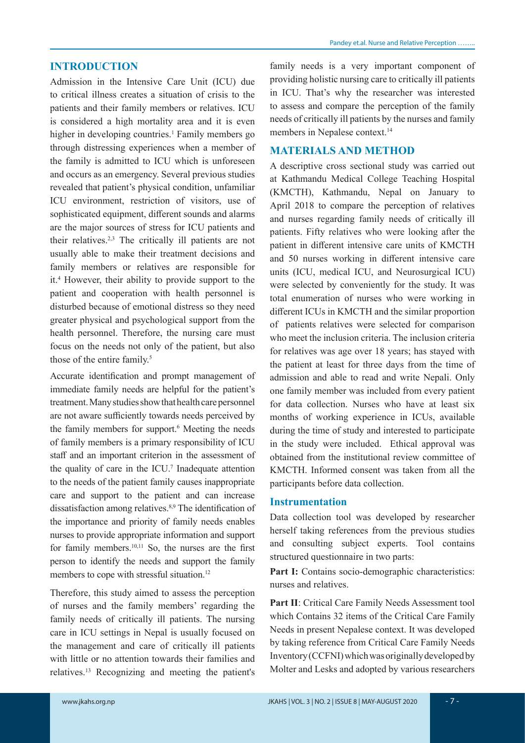# **INTRODUCTION**

Admission in the Intensive Care Unit (ICU) due to critical illness creates a situation of crisis to the patients and their family members or relatives. ICU is considered a high mortality area and it is even higher in developing countries.<sup>1</sup> Family members go through distressing experiences when a member of the family is admitted to ICU which is unforeseen and occurs as an emergency. Several previous studies revealed that patient's physical condition, unfamiliar ICU environment, restriction of visitors, use of sophisticated equipment, different sounds and alarms are the major sources of stress for ICU patients and their relatives.2,3 The critically ill patients are not usually able to make their treatment decisions and family members or relatives are responsible for it.4 However, their ability to provide support to the patient and cooperation with health personnel is disturbed because of emotional distress so they need greater physical and psychological support from the health personnel. Therefore, the nursing care must focus on the needs not only of the patient, but also those of the entire family.<sup>5</sup>

Accurate identification and prompt management of immediate family needs are helpful for the patient's treatment. Many studies show that health care personnel are not aware sufficiently towards needs perceived by the family members for support.<sup>6</sup> Meeting the needs of family members is a primary responsibility of ICU staff and an important criterion in the assessment of the quality of care in the ICU.7 Inadequate attention to the needs of the patient family causes inappropriate care and support to the patient and can increase dissatisfaction among relatives.8,9 The identification of the importance and priority of family needs enables nurses to provide appropriate information and support for family members.10,11 So, the nurses are the first person to identify the needs and support the family members to cope with stressful situation.<sup>12</sup>

Therefore, this study aimed to assess the perception of nurses and the family members' regarding the family needs of critically ill patients. The nursing care in ICU settings in Nepal is usually focused on the management and care of critically ill patients with little or no attention towards their families and relatives.13 Recognizing and meeting the patient's

family needs is a very important component of providing holistic nursing care to critically ill patients in ICU. That's why the researcher was interested to assess and compare the perception of the family needs of critically ill patients by the nurses and family members in Nepalese context.<sup>14</sup>

#### **MATERIALS AND METHOD**

A descriptive cross sectional study was carried out at Kathmandu Medical College Teaching Hospital (KMCTH), Kathmandu, Nepal on January to April 2018 to compare the perception of relatives and nurses regarding family needs of critically ill patients. Fifty relatives who were looking after the patient in different intensive care units of KMCTH and 50 nurses working in different intensive care units (ICU, medical ICU, and Neurosurgical ICU) were selected by conveniently for the study. It was total enumeration of nurses who were working in different ICUs in KMCTH and the similar proportion of patients relatives were selected for comparison who meet the inclusion criteria. The inclusion criteria for relatives was age over 18 years; has stayed with the patient at least for three days from the time of admission and able to read and write Nepali. Only one family member was included from every patient for data collection. Nurses who have at least six months of working experience in ICUs, available during the time of study and interested to participate in the study were included. Ethical approval was obtained from the institutional review committee of KMCTH. Informed consent was taken from all the participants before data collection.

#### **Instrumentation**

Data collection tool was developed by researcher herself taking references from the previous studies and consulting subject experts. Tool contains structured questionnaire in two parts:

Part I: Contains socio-demographic characteristics: nurses and relatives.

**Part II**: Critical Care Family Needs Assessment tool which Contains 32 items of the Critical Care Family Needs in present Nepalese context. It was developed by taking reference from Critical Care Family Needs Inventory (CCFNI) which was originally developed by Molter and Lesks and adopted by various researchers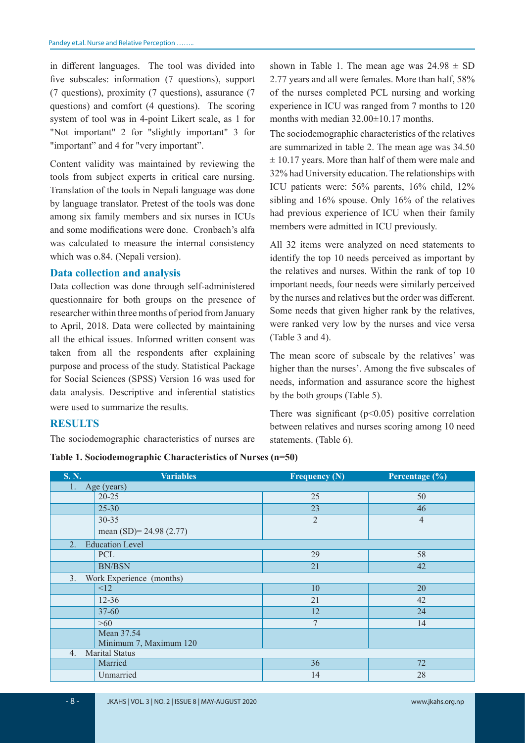in different languages. The tool was divided into five subscales: information (7 questions), support (7 questions), proximity (7 questions), assurance (7 questions) and comfort (4 questions). The scoring system of tool was in 4-point Likert scale, as 1 for "Not important" 2 for "slightly important" 3 for "important" and 4 for "very important".

Content validity was maintained by reviewing the tools from subject experts in critical care nursing. Translation of the tools in Nepali language was done by language translator. Pretest of the tools was done among six family members and six nurses in ICUs and some modifications were done. Cronbach's alfa was calculated to measure the internal consistency which was o.84. (Nepali version).

#### **Data collection and analysis**

Data collection was done through self-administered questionnaire for both groups on the presence of researcher within three months of period from January to April, 2018. Data were collected by maintaining all the ethical issues. Informed written consent was taken from all the respondents after explaining purpose and process of the study. Statistical Package for Social Sciences (SPSS) Version 16 was used for data analysis. Descriptive and inferential statistics were used to summarize the results.

shown in Table 1. The mean age was  $24.98 \pm SD$ 2.77 years and all were females. More than half, 58% of the nurses completed PCL nursing and working experience in ICU was ranged from 7 months to 120 months with median 32.00±10.17 months.

The sociodemographic characteristics of the relatives are summarized in table 2. The mean age was 34.50  $\pm$  10.17 years. More than half of them were male and 32% had University education. The relationships with ICU patients were: 56% parents, 16% child, 12% sibling and 16% spouse. Only 16% of the relatives had previous experience of ICU when their family members were admitted in ICU previously.

All 32 items were analyzed on need statements to identify the top 10 needs perceived as important by the relatives and nurses. Within the rank of top 10 important needs, four needs were similarly perceived by the nurses and relatives but the order was different. Some needs that given higher rank by the relatives, were ranked very low by the nurses and vice versa (Table 3 and 4).

The mean score of subscale by the relatives' was higher than the nurses'. Among the five subscales of needs, information and assurance score the highest by the both groups (Table 5).

There was significant  $(p<0.05)$  positive correlation between relatives and nurses scoring among 10 need statements. (Table 6).

# **RESULTS**

The sociodemographic characteristics of nurses are

**Table 1. Sociodemographic Characteristics of Nurses (n=50)**

| <b>S. N.</b>                | <b>Variables</b>          | <b>Frequency (N)</b> | Percentage (%) |  |  |
|-----------------------------|---------------------------|----------------------|----------------|--|--|
| 1.<br>Age (years)           |                           |                      |                |  |  |
|                             | $20 - 25$                 | 25                   | 50             |  |  |
|                             | $25 - 30$                 | 23                   | 46             |  |  |
|                             | $30 - 35$                 | $\overline{2}$       | $\overline{4}$ |  |  |
|                             | mean $(SD)= 24.98 (2.77)$ |                      |                |  |  |
| 2.                          | <b>Education Level</b>    |                      |                |  |  |
|                             | PCL                       | 29                   | 58             |  |  |
|                             | <b>BN/BSN</b>             | 21                   | 42             |  |  |
| 3.                          | Work Experience (months)  |                      |                |  |  |
|                             | <12                       | 10                   | 20             |  |  |
|                             | $12 - 36$                 | 21                   | 42             |  |  |
|                             | $37 - 60$                 | 12                   | 24             |  |  |
|                             | $>60$                     | 7                    | 14             |  |  |
|                             | Mean 37.54                |                      |                |  |  |
|                             | Minimum 7, Maximum 120    |                      |                |  |  |
| <b>Marital Status</b><br>4. |                           |                      |                |  |  |
|                             | Married                   | 36                   | 72             |  |  |
|                             | Unmarried                 | 14                   | 28             |  |  |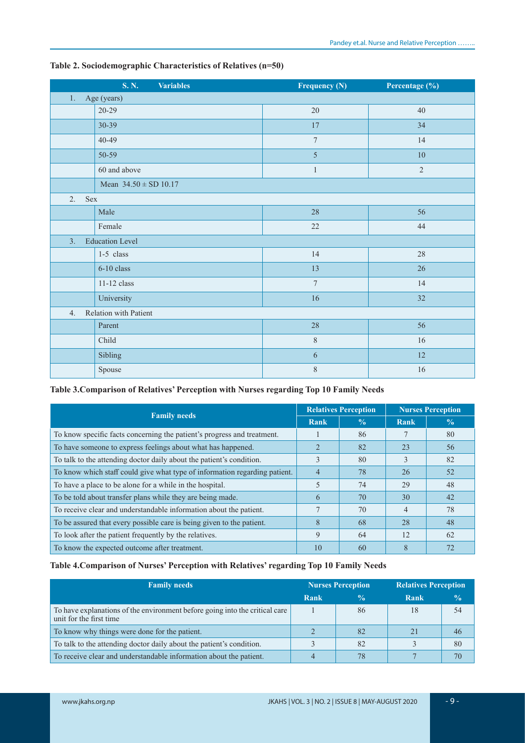| <b>S. N.</b><br><b>Variables</b> | <b>Frequency (N)</b> | Percentage (%) |  |  |  |  |
|----------------------------------|----------------------|----------------|--|--|--|--|
| Age (years)<br>1.                |                      |                |  |  |  |  |
| $20 - 29$                        | 20                   | 40             |  |  |  |  |
| $30 - 39$                        | 17                   | 34             |  |  |  |  |
| $40 - 49$                        | $\boldsymbol{7}$     | 14             |  |  |  |  |
| 50-59                            | 5                    | 10             |  |  |  |  |
| 60 and above                     | $\mathbf{1}$         | $\overline{2}$ |  |  |  |  |
| Mean $34.50 \pm SD 10.17$        |                      |                |  |  |  |  |
| 2.<br>Sex                        |                      |                |  |  |  |  |
| Male                             | 28                   | 56             |  |  |  |  |
| Female                           | 22                   | 44             |  |  |  |  |
| <b>Education Level</b><br>3.     |                      |                |  |  |  |  |
| $1-5$ class                      | 14                   | 28             |  |  |  |  |
| $6-10$ class                     | 13                   | 26             |  |  |  |  |
| 11-12 class                      | $\overline{7}$       | 14             |  |  |  |  |
| University                       | 16                   | 32             |  |  |  |  |
| Relation with Patient<br>4.      |                      |                |  |  |  |  |
| Parent                           | 28                   | 56             |  |  |  |  |
| Child                            | $\,8\,$              | 16             |  |  |  |  |
| Sibling                          | 6                    | 12             |  |  |  |  |
| Spouse                           | 8                    | 16             |  |  |  |  |

#### **Table 2. Sociodemographic Characteristics of Relatives (n=50)**

# **Table 3.Comparison of Relatives' Perception with Nurses regarding Top 10 Family Needs**

| <b>Family needs</b>                                                        |    | <b>Relatives Perception</b> |               | <b>Nurses Perception</b> |
|----------------------------------------------------------------------------|----|-----------------------------|---------------|--------------------------|
|                                                                            |    | $\frac{0}{\alpha}$          | Rank          | $\frac{0}{0}$            |
| To know specific facts concerning the patient's progress and treatment.    |    | 86                          |               | 80                       |
| To have someone to express feelings about what has happened.               |    | 82                          | 23            | .56                      |
| To talk to the attending doctor daily about the patient's condition.       |    | 80                          | $\mathcal{L}$ | 82                       |
| To know which staff could give what type of information regarding patient. |    | 78                          | 26            | 52                       |
| To have a place to be alone for a while in the hospital.                   |    | 74                          | 29            | 48                       |
| To be told about transfer plans while they are being made.                 | 6  | 70                          | 30            | 42                       |
| To receive clear and understandable information about the patient.         |    | 70                          | 4             | 78                       |
| To be assured that every possible care is being given to the patient.      |    | 68                          | 28            | 48                       |
| To look after the patient frequently by the relatives.                     |    | 64                          | 12            | 62                       |
| To know the expected outcome after treatment.                              | 10 | 60                          | 8             | 72                       |

## **Table 4.Comparison of Nurses' Perception with Relatives' regarding Top 10 Family Needs**

| <b>Family needs</b>                                                                                    |      | <b>Nurses Perception</b> |      | <b>Relatives Perception</b> |  |
|--------------------------------------------------------------------------------------------------------|------|--------------------------|------|-----------------------------|--|
|                                                                                                        | Rank | $\frac{0}{2}$            | Rank | $\frac{0}{0}$               |  |
| To have explanations of the environment before going into the critical care<br>unit for the first time |      | 86                       | 18   | 54                          |  |
| To know why things were done for the patient.                                                          |      | 82                       | 21   | 46                          |  |
| To talk to the attending doctor daily about the patient's condition.                                   |      | 82                       |      | 80                          |  |
| To receive clear and understandable information about the patient.                                     | 4    |                          |      | 70                          |  |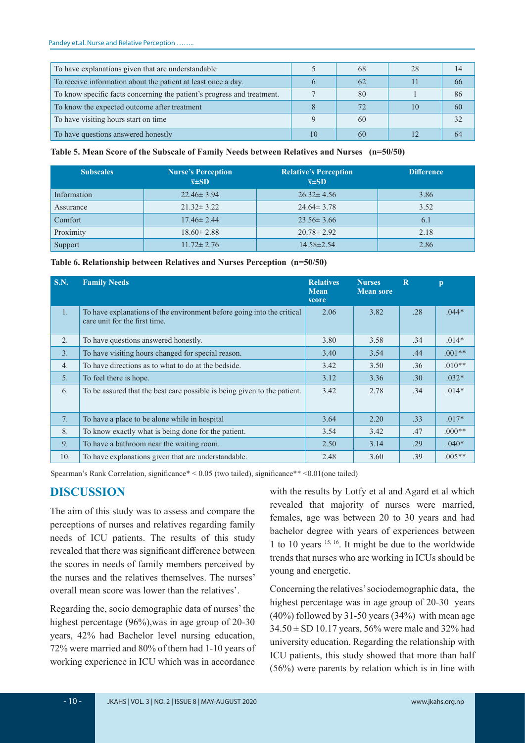| To have explanations given that are understandable                      |    | -68 | 28 |    |
|-------------------------------------------------------------------------|----|-----|----|----|
| To receive information about the patient at least once a day.           |    | 62  |    | 66 |
| To know specific facts concerning the patient's progress and treatment. |    | 80  |    | 86 |
| To know the expected outcome after treatment                            |    |     | 10 | 60 |
| To have visiting hours start on time                                    |    | 60  |    |    |
| To have questions answered honestly                                     | 10 | 60  |    |    |

#### **Table 5. Mean Score of the Subscale of Family Needs between Relatives and Nurses (n=50/50)**

| <b>Subscales</b> | <b>Nurse's Perception</b><br>$\bar{x}$ ±SD | <b>Relative's Perception</b><br>$\overline{x} \pm SD$ | <b>Difference</b> |
|------------------|--------------------------------------------|-------------------------------------------------------|-------------------|
| Information      | $22.46 \pm 3.94$                           | $26.32 \pm 4.56$                                      | 3.86              |
| Assurance        | $21.32 \pm 3.22$                           | $24.64 \pm 3.78$                                      | 3.52              |
| Comfort          | $17.46 \pm 2.44$                           | $23.56 \pm 3.66$                                      | 6.1               |
| Proximity        | $18.60 \pm 2.88$                           | $20.78 \pm 2.92$                                      | 2.18              |
| Support          | $11.72 \pm 2.76$                           | $14.58 \pm 2.54$                                      | 2.86              |

**Table 6. Relationship between Relatives and Nurses Perception (n=50/50)**

| <b>S.N.</b>      | <b>Family Needs</b>                                                                                     | <b>Relatives</b><br><b>Mean</b><br>score | <b>Nurses</b><br><b>Mean sore</b> | $\overline{\mathbf{R}}$ | $\mathbf{p}$ |
|------------------|---------------------------------------------------------------------------------------------------------|------------------------------------------|-----------------------------------|-------------------------|--------------|
| 1.               | To have explanations of the environment before going into the critical<br>care unit for the first time. | 2.06                                     | 3.82                              | .28                     | $.044*$      |
| 2.               | To have questions answered honestly.                                                                    | 3.80                                     | 3.58                              | .34                     | $.014*$      |
| $\overline{3}$ . | To have visiting hours changed for special reason.                                                      | 3.40                                     | 3.54                              | .44                     | $.001**$     |
| 4.               | To have directions as to what to do at the bedside.                                                     | 3.42                                     | 3.50                              | .36                     | $.010**$     |
| 5.               | To feel there is hope.                                                                                  | 3.12                                     | 3.36                              | .30                     | $.032*$      |
| 6.               | To be assured that the best care possible is being given to the patient.                                | 3.42                                     | 2.78                              | .34                     | $.014*$      |
| 7.               | To have a place to be alone while in hospital                                                           | 3.64                                     | 2.20                              | .33                     | $.017*$      |
| 8.               | To know exactly what is being done for the patient.                                                     | 3.54                                     | 3.42                              | .47                     | $.000**$     |
| 9.               | To have a bathroom near the waiting room.                                                               | 2.50                                     | 3.14                              | .29                     | $.040*$      |
| 10.              | To have explanations given that are understandable.                                                     | 2.48                                     | 3.60                              | .39                     | $.005**$     |

Spearman's Rank Correlation, significance\* < 0.05 (two tailed), significance\*\* <0.01(one tailed)

# **DISCUSSION**

The aim of this study was to assess and compare the perceptions of nurses and relatives regarding family needs of ICU patients. The results of this study revealed that there was significant difference between the scores in needs of family members perceived by the nurses and the relatives themselves. The nurses' overall mean score was lower than the relatives'.

Regarding the, socio demographic data of nurses' the highest percentage (96%),was in age group of 20-30 years, 42% had Bachelor level nursing education, 72% were married and 80% of them had 1-10 years of working experience in ICU which was in accordance

with the results by Lotfy et al and Agard et al which revealed that majority of nurses were married, females, age was between 20 to 30 years and had bachelor degree with years of experiences between 1 to 10 years 15, 16. It might be due to the worldwide trends that nurses who are working in ICUs should be young and energetic.

Concerning the relatives' sociodemographic data, the highest percentage was in age group of 20-30 years (40%) followed by 31-50 years (34%) with mean age  $34.50 \pm SD$  10.17 years, 56% were male and 32% had university education. Regarding the relationship with ICU patients, this study showed that more than half (56%) were parents by relation which is in line with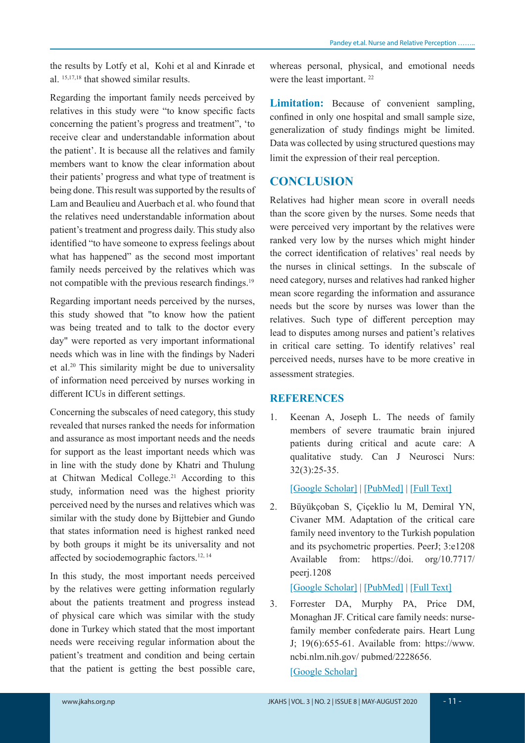the results by Lotfy et al, Kohi et al and Kinrade et al. 15,17,18 that showed similar results.

Regarding the important family needs perceived by relatives in this study were "to know specific facts concerning the patient's progress and treatment", 'to receive clear and understandable information about the patient'. It is because all the relatives and family members want to know the clear information about their patients' progress and what type of treatment is being done. This result was supported by the results of Lam and Beaulieu and Auerbach et al. who found that the relatives need understandable information about patient's treatment and progress daily. This study also identified "to have someone to express feelings about what has happened" as the second most important family needs perceived by the relatives which was not compatible with the previous research findings.<sup>19</sup>

Regarding important needs perceived by the nurses, this study showed that "to know how the patient was being treated and to talk to the doctor every day" were reported as very important informational needs which was in line with the findings by Naderi et al.20 This similarity might be due to universality of information need perceived by nurses working in different ICUs in different settings.

Concerning the subscales of need category, this study revealed that nurses ranked the needs for information and assurance as most important needs and the needs for support as the least important needs which was in line with the study done by Khatri and Thulung at Chitwan Medical College.21 According to this study, information need was the highest priority perceived need by the nurses and relatives which was similar with the study done by Bijttebier and Gundo that states information need is highest ranked need by both groups it might be its universality and not affected by sociodemographic factors.12, 14

In this study, the most important needs perceived by the relatives were getting information regularly about the patients treatment and progress instead of physical care which was similar with the study done in Turkey which stated that the most important needs were receiving regular information about the patient's treatment and condition and being certain that the patient is getting the best possible care,

whereas personal, physical, and emotional needs were the least important. 22

**Limitation:** Because of convenient sampling, confined in only one hospital and small sample size, generalization of study findings might be limited. Data was collected by using structured questions may limit the expression of their real perception.

# **CONCLUSION**

Relatives had higher mean score in overall needs than the score given by the nurses. Some needs that were perceived very important by the relatives were ranked very low by the nurses which might hinder the correct identification of relatives' real needs by the nurses in clinical settings. In the subscale of need category, nurses and relatives had ranked higher mean score regarding the information and assurance needs but the score by nurses was lower than the relatives. Such type of different perception may lead to disputes among nurses and patient's relatives in critical care setting. To identify relatives' real perceived needs, nurses have to be more creative in assessment strategies.

### **REFERENCES**

1. Keenan A, Joseph L. The needs of family members of severe traumatic brain injured patients during critical and acute care: A qualitative study. Can J Neurosci Nurs: 32(3):25-35.

[Google Scholar] | [PubMed] | [Full Text]

2. Büyükçoban S, Çiçeklio lu M, Demiral YN, Civaner MM. Adaptation of the critical care family need inventory to the Turkish population and its psychometric properties. PeerJ; 3:e1208 Available from: https://doi. org/10.7717/ peerj.1208

## [Google Scholar] | [PubMed] | [Full Text]

3. Forrester DA, Murphy PA, Price DM, Monaghan JF. Critical care family needs: nursefamily member confederate pairs. Heart Lung J; 19(6):655-61. Available from: https://www. ncbi.nlm.nih.gov/ pubmed/2228656. [Google Scholar]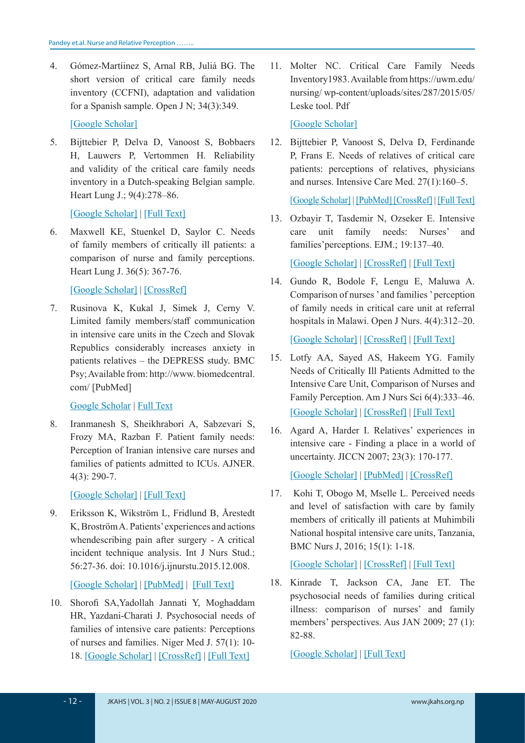4. Gómez-Martíinez S, Arnal RB, Juliá BG. The short version of critical care family needs inventory (CCFNI), adaptation and validation for a Spanish sample. Open J N; 34(3):349.

[Google Scholar]

5. Bijttebier P, Delva D, Vanoost S, Bobbaers H, Lauwers P, Vertommen H. Reliability and validity of the critical care family needs inventory in a Dutch-speaking Belgian sample. Heart Lung J.; 9(4):278–86.

[Google Scholar] | [Full Text]

6. Maxwell KE, Stuenkel D, Saylor C. Needs of family members of critically ill patients: a comparison of nurse and family perceptions. Heart Lung J. 36(5): 367-76.

[Google Scholar] | [CrossRef]

7. Rusinova K, Kukal J, Simek J, Cerny V. Limited family members/staff communication in intensive care units in the Czech and Slovak Republics considerably increases anxiety in patients relatives – the DEPRESS study. BMC Psy; Available from: http://www. biomedcentral. com/ [PubMed]

Google Scholar | Full Text

8. Iranmanesh S, Sheikhrabori A, Sabzevari S, Frozy MA, Razban F. Patient family needs: Perception of Iranian intensive care nurses and families of patients admitted to ICUs. AJNER. 4(3): 290-7.

[Google Scholar] | [Full Text]

9. Eriksson K, Wikström L, Fridlund B, Årestedt K, Broström A. Patients' experiences and actions whendescribing pain after surgery - A critical incident technique analysis. Int J Nurs Stud.; 56:27-36. doi: 10.1016/j.ijnurstu.2015.12.008.

[Google Scholar] | [PubMed] | [Full Text]

10. Shorofi SA,Yadollah Jannati Y, Moghaddam HR, Yazdani-Charati J. Psychosocial needs of families of intensive care patients: Perceptions of nurses and families. Niger Med J. 57(1): 10- 18. [Google Scholar] | [CrossRef] | [Full Text]

11. Molter NC. Critical Care Family Needs Inventory1983. Available from https://uwm.edu/ nursing/ wp-content/uploads/sites/287/2015/05/ Leske tool. Pdf

[Google Scholar]

12. Bijttebier P, Vanoost S, Delva D, Ferdinande P, Frans E. Needs of relatives of critical care patients: perceptions of relatives, physicians and nurses. Intensive Care Med. 27(1):160–5.

[Google Scholar] | [PubMed] [CrossRef] | [Full Text]

13. Ozbayir T, Tasdemir N, Ozseker E. Intensive care unit family needs: Nurses' and families'perceptions. EJM.; 19:137–40.

[Google Scholar] | [CrossRef] | [Full Text]

14. Gundo R, Bodole F, Lengu E, Maluwa A. Comparison of nurses ' and families ' perception of family needs in critical care unit at referral hospitals in Malawi. Open J Nurs. 4(4):312–20.

[Google Scholar] | [CrossRef] | [Full Text]

- 15. Lotfy AA, Sayed AS, Hakeem YG. Family Needs of Critically Ill Patients Admitted to the Intensive Care Unit, Comparison of Nurses and Family Perception. Am J Nurs Sci 6(4):333–46. [Google Scholar] | [CrossRef] | [Full Text]
- 16. Agard A, Harder I. Relatives' experiences in intensive care - Finding a place in a world of uncertainty. JICCN 2007; 23(3): 170-177.

[Google Scholar] | [PubMed] | [CrossRef]

17. Kohi T, Obogo M, Mselle L. Perceived needs and level of satisfaction with care by family members of critically ill patients at Muhimbili National hospital intensive care units, Tanzania, BMC Nurs J, 2016; 15(1): 1-18.

[Google Scholar] | [CrossRef] | [Full Text]

18. Kinrade T, Jackson CA, Jane ET. The psychosocial needs of families during critical illness: comparison of nurses' and family members' perspectives. Aus JAN 2009; 27 (1): 82-88.

[Google Scholar] | [Full Text]